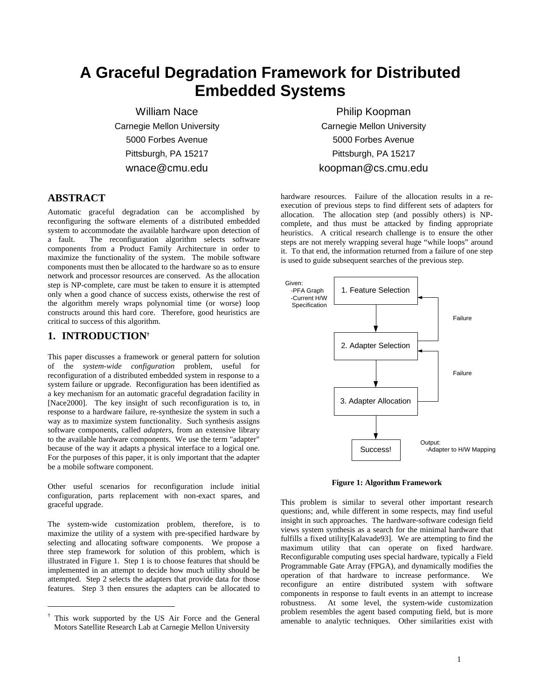# **A Graceful Degradation Framework for Distributed Embedded Systems**

William Nace Carnegie Mellon University 5000 Forbes Avenue Pittsburgh, PA 15217 wnace@cmu.edu

#### **ABSTRACT**

Automatic graceful degradation can be accomplished by reconfiguring the software elements of a distributed embedded system to accommodate the available hardware upon detection of a fault. The reconfiguration algorithm selects software components from a Product Family Architecture in order to maximize the functionality of the system. The mobile software components must then be allocated to the hardware so as to ensure network and processor resources are conserved. As the allocation step is NP-complete, care must be taken to ensure it is attempted only when a good chance of success exists, otherwise the rest of the algorithm merely wraps polynomial time (or worse) loop constructs around this hard core. Therefore, good heuristics are critical to success of this algorithm.

#### **1. INTRODUCTION†**

 $\overline{a}$ 

This paper discusses a framework or general pattern for solution of the *system-wide configuration* problem, useful for reconfiguration of a distributed embedded system in response to a system failure or upgrade. Reconfiguration has been identified as a key mechanism for an automatic graceful degradation facility in [Nace2000]. The key insight of such reconfiguration is to, in response to a hardware failure, re-synthesize the system in such a way as to maximize system functionality. Such synthesis assigns software components, called *adapters*, from an extensive library to the available hardware components. We use the term "adapter" because of the way it adapts a physical interface to a logical one. For the purposes of this paper, it is only important that the adapter be a mobile software component.

Other useful scenarios for reconfiguration include initial configuration, parts replacement with non-exact spares, and graceful upgrade.

The system-wide customization problem, therefore, is to maximize the utility of a system with pre-specified hardware by selecting and allocating software components. We propose a three step framework for solution of this problem, which is illustrated in Figure 1. Step 1 is to choose features that should be implemented in an attempt to decide how much utility should be attempted. Step 2 selects the adapters that provide data for those features. Step 3 then ensures the adapters can be allocated to

Philip Koopman Carnegie Mellon University 5000 Forbes Avenue Pittsburgh, PA 15217 koopman@cs.cmu.edu

hardware resources. Failure of the allocation results in a reexecution of previous steps to find different sets of adapters for allocation. The allocation step (and possibly others) is NPcomplete, and thus must be attacked by finding appropriate heuristics. A critical research challenge is to ensure the other steps are not merely wrapping several huge "while loops" around it. To that end, the information returned from a failure of one step is used to guide subsequent searches of the previous step.



**Figure 1: Algorithm Framework**

This problem is similar to several other important research questions; and, while different in some respects, may find useful insight in such approaches. The hardware-software codesign field views system synthesis as a search for the minimal hardware that fulfills a fixed utility[Kalavade93]. We are attempting to find the maximum utility that can operate on fixed hardware. Reconfigurable computing uses special hardware, typically a Field Programmable Gate Array (FPGA), and dynamically modifies the operation of that hardware to increase performance. We reconfigure an entire distributed system with software components in response to fault events in an attempt to increase robustness. At some level, the system-wide customization problem resembles the agent based computing field, but is more amenable to analytic techniques. Other similarities exist with

<sup>†</sup> This work supported by the US Air Force and the General Motors Satellite Research Lab at Carnegie Mellon University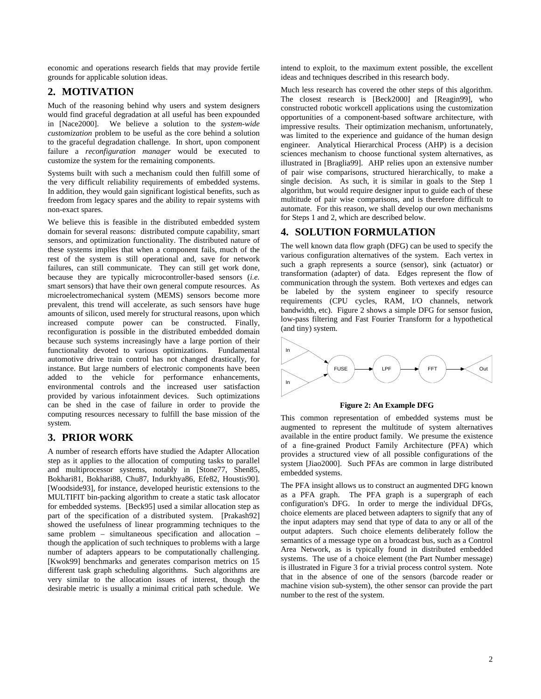economic and operations research fields that may provide fertile grounds for applicable solution ideas.

## **2. MOTIVATION**

Much of the reasoning behind why users and system designers would find graceful degradation at all useful has been expounded in [Nace2000]. We believe a solution to the *system-wide customization* problem to be useful as the core behind a solution to the graceful degradation challenge. In short, upon component failure a *reconfiguration manager* would be executed to customize the system for the remaining components.

Systems built with such a mechanism could then fulfill some of the very difficult reliability requirements of embedded systems. In addition, they would gain significant logistical benefits, such as freedom from legacy spares and the ability to repair systems with non-exact spares.

We believe this is feasible in the distributed embedded system domain for several reasons: distributed compute capability, smart sensors, and optimization functionality. The distributed nature of these systems implies that when a component fails, much of the rest of the system is still operational and, save for network failures, can still communicate. They can still get work done, because they are typically microcontroller-based sensors (*i.e.* smart sensors) that have their own general compute resources. As microelectromechanical system (MEMS) sensors become more prevalent, this trend will accelerate, as such sensors have huge amounts of silicon, used merely for structural reasons, upon which increased compute power can be constructed. Finally, reconfiguration is possible in the distributed embedded domain because such systems increasingly have a large portion of their functionality devoted to various optimizations. Fundamental automotive drive train control has not changed drastically, for instance. But large numbers of electronic components have been added to the vehicle for performance enhancements, environmental controls and the increased user satisfaction provided by various infotainment devices. Such optimizations can be shed in the case of failure in order to provide the computing resources necessary to fulfill the base mission of the system.

#### **3. PRIOR WORK**

A number of research efforts have studied the Adapter Allocation step as it applies to the allocation of computing tasks to parallel and multiprocessor systems, notably in [Stone77, Shen85, Bokhari81, Bokhari88, Chu87, Indurkhya86, Efe82, Houstis90]. [Woodside93], for instance, developed heuristic extensions to the MULTIFIT bin-packing algorithm to create a static task allocator for embedded systems. [Beck95] used a similar allocation step as part of the specification of a distributed system. [Prakash92] showed the usefulness of linear programming techniques to the same problem – simultaneous specification and allocation – though the application of such techniques to problems with a large number of adapters appears to be computationally challenging. [Kwok99] benchmarks and generates comparison metrics on 15 different task graph scheduling algorithms. Such algorithms are very similar to the allocation issues of interest, though the desirable metric is usually a minimal critical path schedule. We

intend to exploit, to the maximum extent possible, the excellent ideas and techniques described in this research body.

Much less research has covered the other steps of this algorithm. The closest research is [Beck2000] and [Reagin99], who constructed robotic workcell applications using the customization opportunities of a component-based software architecture, with impressive results. Their optimization mechanism, unfortunately, was limited to the experience and guidance of the human design engineer. Analytical Hierarchical Process (AHP) is a decision sciences mechanism to choose functional system alternatives, as illustrated in [Braglia99]. AHP relies upon an extensive number of pair wise comparisons, structured hierarchically, to make a single decision. As such, it is similar in goals to the Step 1 algorithm, but would require designer input to guide each of these multitude of pair wise comparisons, and is therefore difficult to automate. For this reason, we shall develop our own mechanisms for Steps 1 and 2, which are described below.

#### **4. SOLUTION FORMULATION**

The well known data flow graph (DFG) can be used to specify the various configuration alternatives of the system. Each vertex in such a graph represents a source (sensor), sink (actuator) or transformation (adapter) of data. Edges represent the flow of communication through the system. Both vertexes and edges can be labeled by the system engineer to specify resource requirements (CPU cycles, RAM, I/O channels, network bandwidth, etc). Figure 2 shows a simple DFG for sensor fusion, low-pass filtering and Fast Fourier Transform for a hypothetical (and tiny) system.



**Figure 2: An Example DFG**

This common representation of embedded systems must be augmented to represent the multitude of system alternatives available in the entire product family. We presume the existence of a fine-grained Product Family Architecture (PFA) which provides a structured view of all possible configurations of the system [Jiao2000]. Such PFAs are common in large distributed embedded systems.

The PFA insight allows us to construct an augmented DFG known as a PFA graph. The PFA graph is a supergraph of each configuration's DFG. In order to merge the individual DFGs, choice elements are placed between adapters to signify that any of the input adapters may send that type of data to any or all of the output adapters. Such choice elements deliberately follow the semantics of a message type on a broadcast bus, such as a Control Area Network, as is typically found in distributed embedded systems. The use of a choice element (the Part Number message) is illustrated in Figure 3 for a trivial process control system. Note that in the absence of one of the sensors (barcode reader or machine vision sub-system), the other sensor can provide the part number to the rest of the system.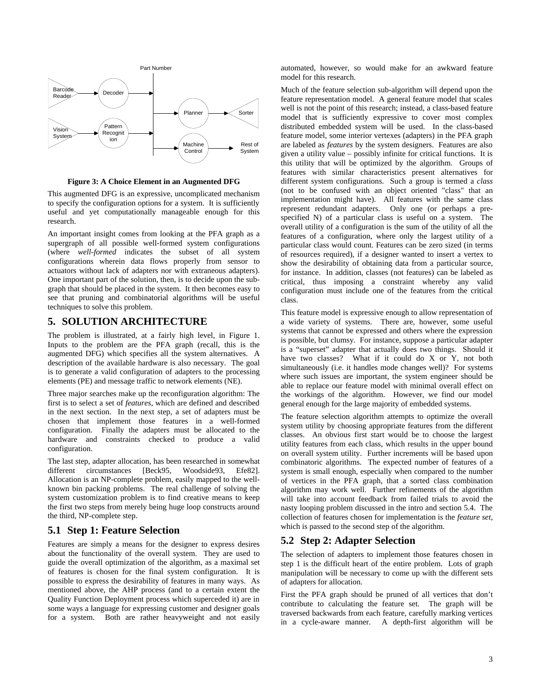

**Figure 3: A Choice Element in an Augmented DFG**

This augmented DFG is an expressive, uncomplicated mechanism to specify the configuration options for a system. It is sufficiently useful and yet computationally manageable enough for this research.

An important insight comes from looking at the PFA graph as a supergraph of all possible well-formed system configurations (where *well-formed* indicates the subset of all system configurations wherein data flows properly from sensor to actuators without lack of adapters nor with extraneous adapters). One important part of the solution, then, is to decide upon the subgraph that should be placed in the system. It then becomes easy to see that pruning and combinatorial algorithms will be useful techniques to solve this problem.

## **5. SOLUTION ARCHITECTURE**

The problem is illustrated, at a fairly high level, in Figure 1. Inputs to the problem are the PFA graph (recall, this is the augmented DFG) which specifies all the system alternatives. A description of the available hardware is also necessary. The goal is to generate a valid configuration of adapters to the processing elements (PE) and message traffic to network elements (NE).

Three major searches make up the reconfiguration algorithm: The first is to select a set of *features*, which are defined and described in the next section. In the next step, a set of adapters must be chosen that implement those features in a well-formed configuration. Finally the adapters must be allocated to the hardware and constraints checked to produce a valid configuration.

The last step, adapter allocation, has been researched in somewhat different circumstances [Beck95, Woodside93, Efe82]. Allocation is an NP-complete problem, easily mapped to the wellknown bin packing problems. The real challenge of solving the system customization problem is to find creative means to keep the first two steps from merely being huge loop constructs around the third, NP-complete step.

#### **5.1 Step 1: Feature Selection**

Features are simply a means for the designer to express desires about the functionality of the overall system. They are used to guide the overall optimization of the algorithm, as a maximal set of features is chosen for the final system configuration. It is possible to express the desirability of features in many ways. As mentioned above, the AHP process (and to a certain extent the Quality Function Deployment process which superceded it) are in some ways a language for expressing customer and designer goals for a system. Both are rather heavyweight and not easily

automated, however, so would make for an awkward feature model for this research.

Much of the feature selection sub-algorithm will depend upon the feature representation model. A general feature model that scales well is not the point of this research; instead, a class-based feature model that is sufficiently expressive to cover most complex distributed embedded system will be used. In the class-based feature model, some interior vertexes (adapters) in the PFA graph are labeled as *features* by the system designers. Features are also given a utility value – possibly infinite for critical functions. It is this utility that will be optimized by the algorithm. Groups of features with similar characteristics present alternatives for different system configurations. Such a group is termed a *class* (not to be confused with an object oriented "class" that an implementation might have). All features with the same class represent redundant adapters. Only one (or perhaps a prespecified N) of a particular class is useful on a system. The overall utility of a configuration is the sum of the utility of all the features of a configuration, where only the largest utility of a particular class would count. Features can be zero sized (in terms of resources required), if a designer wanted to insert a vertex to show the desirability of obtaining data from a particular source, for instance. In addition, classes (not features) can be labeled as critical, thus imposing a constraint whereby any valid configuration must include one of the features from the critical class.

This feature model is expressive enough to allow representation of a wide variety of systems. There are, however, some useful systems that cannot be expressed and others where the expression is possible, but clumsy. For instance, suppose a particular adapter is a "superset" adapter that actually does two things. Should it have two classes? What if it could do X or Y, not both simultaneously (i.e. it handles mode changes well)? For systems where such issues are important, the system engineer should be able to replace our feature model with minimal overall effect on the workings of the algorithm. However, we find our model general enough for the large majority of embedded systems.

The feature selection algorithm attempts to optimize the overall system utility by choosing appropriate features from the different classes. An obvious first start would be to choose the largest utility features from each class, which results in the upper bound on overall system utility. Further increments will be based upon combinatoric algorithms. The expected number of features of a system is small enough, especially when compared to the number of vertices in the PFA graph, that a sorted class combination algorithm may work well. Further refinements of the algorithm will take into account feedback from failed trials to avoid the nasty looping problem discussed in the intro and section 5.4. The collection of features chosen for implementation is the *feature set*, which is passed to the second step of the algorithm.

#### **5.2 Step 2: Adapter Selection**

The selection of adapters to implement those features chosen in step 1 is the difficult heart of the entire problem. Lots of graph manipulation will be necessary to come up with the different sets of adapters for allocation.

First the PFA graph should be pruned of all vertices that don't contribute to calculating the feature set. The graph will be traversed backwards from each feature, carefully marking vertices in a cycle-aware manner. A depth-first algorithm will be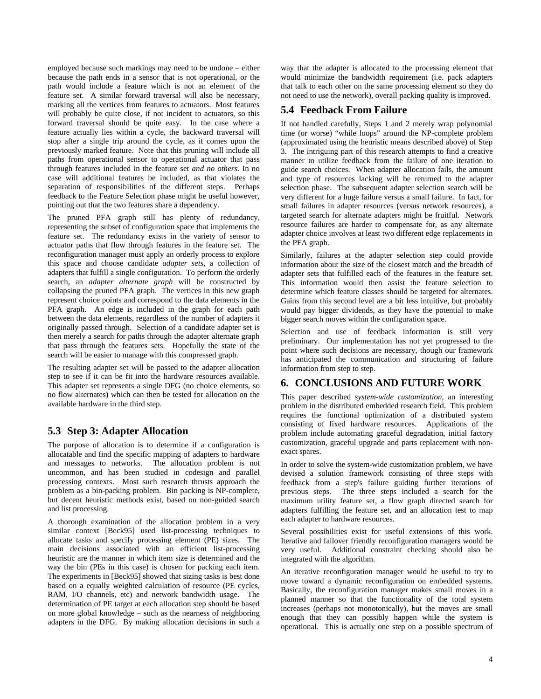employed because such markings may need to be undone – either because the path ends in a sensor that is not operational, or the path would include a feature which is not an element of the feature set. A similar forward traversal will also be necessary, marking all the vertices from features to actuators. Most features will probably be quite close, if not incident to actuators, so this forward traversal should be quite easy. In the case where a feature actually lies within a cycle, the backward traversal will stop after a single trip around the cycle, as it comes upon the previously marked feature. Note that this pruning will include all paths from operational sensor to operational actuator that pass through features included in the feature set *and no others.* In no case will additional features be included, as that violates the separation of responsibilities of the different steps. Perhaps feedback to the Feature Selection phase might be useful however, pointing out that the two features share a dependency.

The pruned PFA graph still has plenty of redundancy, representing the subset of configuration space that implements the feature set. The redundancy exists in the variety of sensor to actuator paths that flow through features in the feature set. The reconfiguration manager must apply an orderly process to explore this space and choose candidate *adapter sets*, a collection of adapters that fulfill a single configuration. To perform the orderly search, an *adapter alternate graph* will be constructed by collapsing the pruned PFA graph. The vertices in this new graph represent choice points and correspond to the data elements in the PFA graph. An edge is included in the graph for each path between the data elements, regardless of the number of adapters it originally passed through. Selection of a candidate adapter set is then merely a search for paths through the adapter alternate graph that pass through the features sets. Hopefully the state of the search will be easier to manage with this compressed graph.

The resulting adapter set will be passed to the adapter allocation step to see if it can be fit into the hardware resources available. This adapter set represents a single DFG (no choice elements, so no flow alternates) which can then be tested for allocation on the available hardware in the third step.

#### **5.3 Step 3: Adapter Allocation**

The purpose of allocation is to determine if a configuration is allocatable and find the specific mapping of adapters to hardware and messages to networks. The allocation problem is not uncommon, and has been studied in codesign and parallel processing contexts. Most such research thrusts approach the problem as a bin-packing problem. Bin packing is NP-complete, but decent heuristic methods exist, based on non-guided search and list processing.

A thorough examination of the allocation problem in a very similar context [Beck95] used list-processing techniques to allocate tasks and specify processing element (PE) sizes. The main decisions associated with an efficient list-processing heuristic are the manner in which item size is determined and the way the bin (PEs in this case) is chosen for packing each item. The experiments in [Beck95] showed that sizing tasks is best done based on a equally weighted calculation of resource (PE cycles, RAM, I/O channels, etc) and network bandwidth usage. The determination of PE target at each allocation step should be based on more global knowledge – such as the nearness of neighboring adapters in the DFG. By making allocation decisions in such a

way that the adapter is allocated to the processing element that would minimize the bandwidth requirement (i.e. pack adapters that talk to each other on the same processing element so they do not need to use the network), overall packing quality is improved.

# **5.4 Feedback From Failure**

If not handled carefully, Steps 1 and 2 merely wrap polynomial time (or worse) "while loops" around the NP-complete problem (approximated using the heuristic means described above) of Step 3. The intriguing part of this research attempts to find a creative manner to utilize feedback from the failure of one iteration to guide search choices. When adapter allocation fails, the amount and type of resources lacking will be returned to the adapter selection phase. The subsequent adapter selection search will be very different for a huge failure versus a small failure. In fact, for small failures in adapter resources (versus network resources), a targeted search for alternate adapters might be fruitful. Network resource failures are harder to compensate for, as any alternate adapter choice involves at least two different edge replacements in the PFA graph.

Similarly, failures at the adapter selection step could provide information about the size of the closest match and the breadth of adapter sets that fulfilled each of the features in the feature set. This information would then assist the feature selection to determine which feature classes should be targeted for alternates. Gains from this second level are a bit less intuitive, but probably would pay bigger dividends, as they have the potential to make bigger search moves within the configuration space.

Selection and use of feedback information is still very preliminary. Our implementation has not yet progressed to the point where such decisions are necessary, though our framework has anticipated the communication and structuring of failure information from step to step.

## **6. CONCLUSIONS AND FUTURE WORK**

This paper described *system-wide customization,* an interesting problem in the distributed embedded research field. This problem requires the functional optimization of a distributed system consisting of fixed hardware resources. Applications of the problem include automating graceful degradation, initial factory customization, graceful upgrade and parts replacement with nonexact spares.

In order to solve the system-wide customization problem, we have devised a solution framework consisting of three steps with feedback from a step's failure guiding further iterations of previous steps. The three steps included a search for the maximum utility feature set, a flow graph directed search for adapters fulfilling the feature set, and an allocation test to map each adapter to hardware resources.

Several possibilities exist for useful extensions of this work. Iterative and failover friendly reconfiguration managers would be very useful. Additional constraint checking should also be integrated with the algorithm.

An iterative reconfiguration manager would be useful to try to move toward a dynamic reconfiguration on embedded systems. Basically, the reconfiguration manager makes small moves in a planned manner so that the functionality of the total system increases (perhaps not monotonically), but the moves are small enough that they can possibly happen while the system is operational. This is actually one step on a possible spectrum of